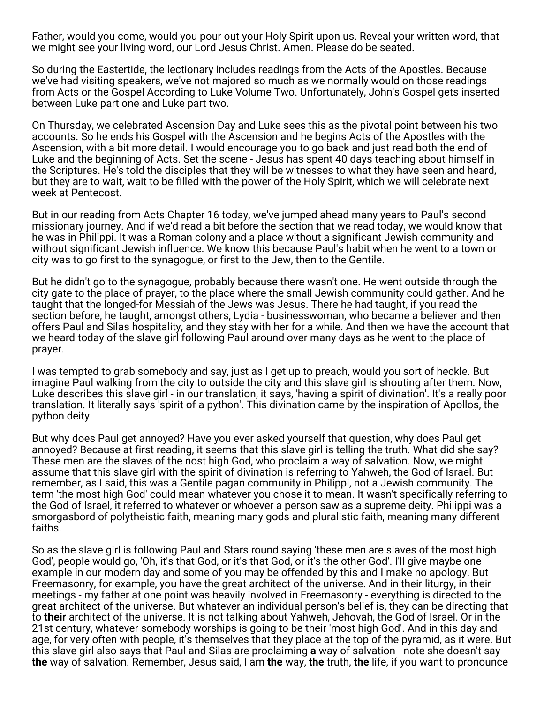Father, would you come, would you pour out your Holy Spirit upon us. Reveal your written word, that we might see your living word, our Lord Jesus Christ. Amen. Please do be seated.

So during the Eastertide, the lectionary includes readings from the Acts of the Apostles. Because we've had visiting speakers, we've not majored so much as we normally would on those readings from Acts or the Gospel According to Luke Volume Two. Unfortunately, John's Gospel gets inserted between Luke part one and Luke part two.

On Thursday, we celebrated Ascension Day and Luke sees this as the pivotal point between his two accounts. So he ends his Gospel with the Ascension and he begins Acts of the Apostles with the Ascension, with a bit more detail. I would encourage you to go back and just read both the end of Luke and the beginning of Acts. Set the scene - Jesus has spent 40 days teaching about himself in the Scriptures. He's told the disciples that they will be witnesses to what they have seen and heard, but they are to wait, wait to be filled with the power of the Holy Spirit, which we will celebrate next week at Pentecost.

But in our reading from Acts Chapter 16 today, we've jumped ahead many years to Paul's second missionary journey. And if we'd read a bit before the section that we read today, we would know that he was in Philippi. It was a Roman colony and a place without a significant Jewish community and without significant Jewish influence. We know this because Paul's habit when he went to a town or city was to go first to the synagogue, or first to the Jew, then to the Gentile.

But he didn't go to the synagogue, probably because there wasn't one. He went outside through the city gate to the place of prayer, to the place where the small Jewish community could gather. And he taught that the longed-for Messiah of the Jews was Jesus. There he had taught, if you read the section before, he taught, amongst others, Lydia - businesswoman, who became a believer and then offers Paul and Silas hospitality, and they stay with her for a while. And then we have the account that we heard today of the slave girl following Paul around over many days as he went to the place of prayer.

I was tempted to grab somebody and say, just as I get up to preach, would you sort of heckle. But imagine Paul walking from the city to outside the city and this slave girl is shouting after them. Now, Luke describes this slave girl - in our translation, it says, 'having a spirit of divination'. It's a really poor translation. It literally says 'spirit of a python'. This divination came by the inspiration of Apollos, the python deity.

But why does Paul get annoyed? Have you ever asked yourself that question, why does Paul get annoyed? Because at first reading, it seems that this slave girl is telling the truth. What did she say? These men are the slaves of the nost high God, who proclaim a way of salvation. Now, we might assume that this slave girl with the spirit of divination is referring to Yahweh, the God of Israel. But remember, as I said, this was a Gentile pagan community in Philippi, not a Jewish community. The term 'the most high God' could mean whatever you chose it to mean. It wasn't specifically referring to the God of Israel, it referred to whatever or whoever a person saw as a supreme deity. Philippi was a smorgasbord of polytheistic faith, meaning many gods and pluralistic faith, meaning many different faiths.

So as the slave girl is following Paul and Stars round saying 'these men are slaves of the most high God', people would go, 'Oh, it's that God, or it's that God, or it's the other God'. I'll give maybe one example in our modern day and some of you may be offended by this and I make no apology. But Freemasonry, for example, you have the great architect of the universe. And in their liturgy, in their meetings - my father at one point was heavily involved in Freemasonry - everything is directed to the great architect of the universe. But whatever an individual person's belief is, they can be directing that to **their** architect of the universe. It is not talking about Yahweh, Jehovah, the God of Israel. Or in the 21st century, whatever somebody worships is going to be their 'most high God'. And in this day and age, for very often with people, it's themselves that they place at the top of the pyramid, as it were. But this slave girl also says that Paul and Silas are proclaiming **a** way of salvation - note she doesn't say **the** way of salvation. Remember, Jesus said, I am **the** way, **the** truth, **the** life, if you want to pronounce